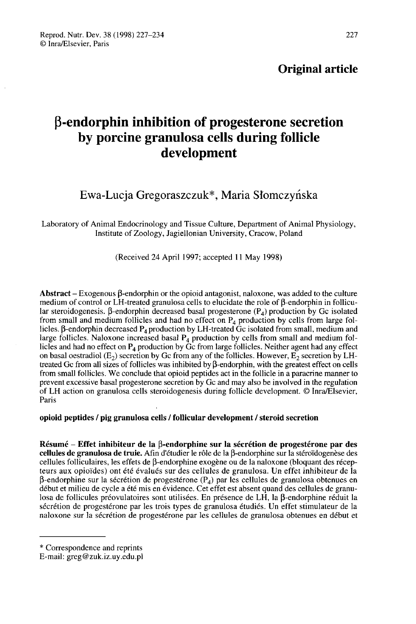# β-endorphin inhibition of progesterone secretion by porcine granulosa cells during follicle development

## Ewa-Lucja Gregoraszczuk\*, Maria Słomczyńska

Laboratory of Animal Endocrinology and Tissue Culture, Department of Animal Physiology, Institute of Zoology, Jagiellonian University, Cracow, Poland

(Received 24 April 1997; accepted 11 May 1998)

Abstract  $-$  Exogenous  $\beta$ -endorphin or the opioid antagonist, naloxone, was added to the culture medium of control or LH-treated granulosa cells to elucidate the role of  $\beta$ -endorphin in follicular steroidogenesis.  $\beta$ -endorphin decreased basal progesterone  $(P_4)$  production by Gc isolated from small and medium follicles and had no effect on  $P_4$  production by cells from large fol-**Abstract** – Exogenous  $\beta$ -endorphin or the opioid antagonist, naloxone, was added to the culture<br>medium of control or LH-treated granulosa cells to elucidate the role of  $\beta$ -endorphin in follicu-<br>lar steroidogenesis. large follicles. Naloxone increased basal  $P_4$  production by cells from small and medium follicles and had no effect on  $P_4$  production by Gc from large follicles. Neither agent had any effect on basal oestradiol ( $E_2$ ) secretion by Gc from any of the follicles. However,  $E_2$  secretion by LHtreated Gc from all sizes of follicles was inhibited by  $\beta$ -endorphin, with the greatest effect on cells from small follicles. We conclude that opioid peptides act in the follicle in a paracrine manner to prevent excessive basal progesterone secretion by Gc and may also be involved in the regulation of LH action on granulosa cells steroidogenesis during follicle development. @ Inra/Elsevier, Paris

## opioid peptides / pig granulosa cells / follicular development / steroid secretion

 $R$ ésumé – Effet inhibiteur de la  $\beta$ -endorphine sur la sécrétion de progestérone par des cellules de granulosa de truie. Afin d'étudier le rôle de la  $\beta$ -endorphine sur la stéroïdogenèse des cellules folliculaires, les effets de  $\beta$ -endorphine exogène ou de la naloxone (bloquant des récepteurs aux opioïdes) ont été évalués sur des cellules de granulosa. Un effet inhibiteur de la  $\beta$ -endorphine sur la sécrétion de progestérone (P<sub>4</sub>) par les cellules de granulosa obtenues en début et milieu de cycle a été mis en évidence. Cet effet est absent quand des cellules de granulosa de follicules préovulatoires sont utilisées. En présence de LH, la  $\beta$ -endorphine réduit la sécrétion de progestérone par les trois types de granulosa étudiés. Un effet stimulateur de la naloxone sur la sécrétion de progestérone par les cellules de granulosa obtenues en début et

<sup>\*</sup> Correspondence and reprints

E-mail: greg@zuk.iz.uy.edu.pl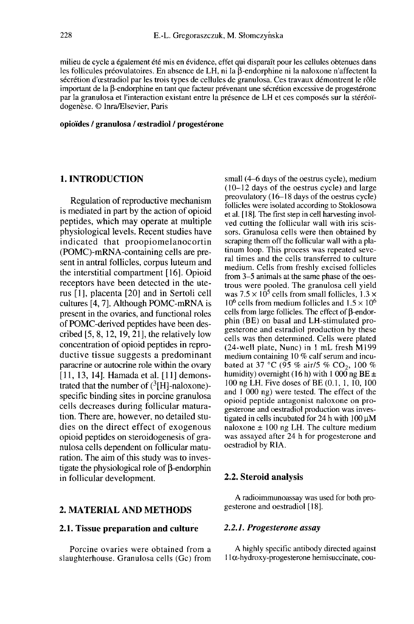milieu de cycle a également été mis en évidence, effet qui disparaît pour les cellules obtenues dans les follicules préovulatoires. En absence de LH, ni la  $\beta$ -endorphine ni la naloxone n'affectent la sécrétion d'œstradiol par les trois types de cellules de granulosa. Ces travaux démontrent le rôle important de la  $\beta$ -endorphine en tant que facteur prévenant une sécrétion excessive de progestérone par la granulosa et l'interaction existant entre la présence de LH et ces composés sur la stéréoïdogenèse. © lnra/Elsevier, Paris

#### opioïdes / granulosa / oestradiol / progestérone

#### 1. INTRODUCTION

Regulation of reproductive mechanism is mediated in part by the action of opioid peptides, which may operate at multiple physiological levels. Recent studies have indicated that proopiomelanocortin (POMC)-mRNA-containing cells are present in antral follicles, corpus luteum and the interstitial compartment [ 16]. Opioid receptors have been detected in the uterus [1], placenta [20] and in Sertoli cell cultures [4, 7]. Although POMC-mRNA is present in the ovaries, and functional roles of POMC-derived peptides have been described  $[5, 8, 12, 19, 21]$ , the relatively low concentration of opioid peptides in reproductive tissue suggests a predominant paracrine or autocrine role within the ovary [11, 13, 14]. Hamada et al. [11] demonstrated that the number of  $(^{3}[H]$ -naloxone)present in the ovaries, and functional roles<br>of POMC-derived peptides have been des-<br>cribed [5, 8, 12, 19, 21], the relatively low<br>concentration of opioid peptides in repro-<br>ductive tissue suggests a predominant<br>paracrine specific binding sites in porcine granulosa cells decreases during follicular maturation. There are, however, no detailed studies on the direct effect of exogenous opioid peptides on steroidogenesis of granulosa cells dependent on follicular maturation. The aim of this study was to investigate the physiological role of  $\beta$ -endorphin in follicular development.

#### 2. MATERIAL AND METHODS

#### 2.1. Tissue preparation and culture

Porcine ovaries were obtained from a slaughterhouse. Granulosa cells (Gc) from small (4-6 days of the oestrus cycle), medium (10-12 days of the oestrus cycle) and large preovulatory (16-18 days of the oestrus cycle) follicles were isolated according to Stoklosowa et al. [ 18]. The first step in cell harvesting involved cutting the follicular wall with iris scissors. Granulosa cells were then obtained by scraping them off the follicular wall with a platinum loop. This process was repeated several times and the cells transferred to culture medium. Cells from freshly excised follicles from 3–5 animals at the same phase of the oes-<br>trous were pooled. The granulosa cell yield trous were pooled. The granulosa cell yield<br>was  $7.5 \times 10^5$  cells from small follicles,  $1.3 \times 10^6$ <br> $10^6$  cells from medium follicles and  $1.5 \times 10^6$ cells from large follicles. The effect of  $\beta$ -endorphin (BE) on basal and LH-stimulated progesterone and estradiol production by these cells was then determined. Cells were plated (24-well plate, Nunc) in I mL fresh M 199 medium containing 10 % calf serum and incubated at 37 °C (95 % air/5 % CO<sub>2</sub>, 100 % humidity) overnight (16 h) with 1 000 ng BE  $\pm$ 100 ng LH. Five doses of BE (0.1, 1, 10, 100 and I 000 ng) were tested. The effect of the opioid peptide antagonist naloxone on progesterone and oestradiol production was investigated in cells incubated for 24 h with  $100 \mu M$ naloxone  $\pm$  100 ng LH. The culture medium was assayed after 24 h for progesterone and oestradiol by RIA.

#### 2.2. Steroid analysis

A radioimmunoassay was used for both progesterone and oestradiol [18].

#### 2.2.1. Progesterone assay

A highly specific antibody directed against  $11\alpha$ -hydroxy-progesterone hemisuccinate, cou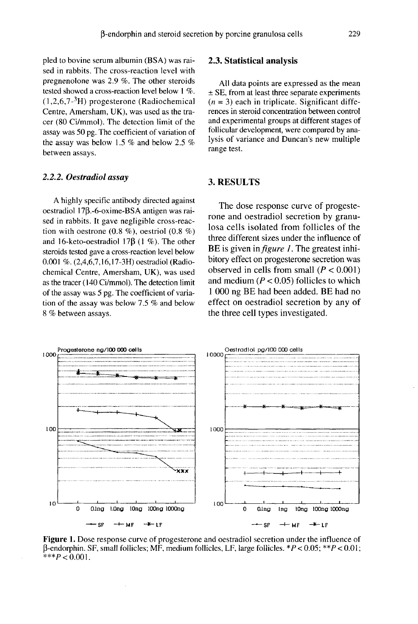pled to bovine serum albumin (BSA) was raised in rabbits. The cross-reaction level with pregnenolone was 2.9 %. The other steroids tested showed a cross-reaction level below I %.  $(1,2,6,7<sup>-3</sup>H)$  progesterone (Radiochemical Centre, Amersham, UK), was used as the tracer (80 Ci/mmol). The detection limit of the assay was 50 pg. The coefficient of variation of the assay was below 1.5 % and below 2.5 % between assays.

#### 2.2.2. Oestradiol assay

A highly specific antibody directed against oestradiol 17ß.-6-oxime-BSA antigen was raised in rabbits. It gave negligible cross-reaction with oestrone  $(0.8 \%)$ , oestriol  $(0.8 \%)$ and 16-keto-oestradiol 17 $\beta$  (1 %). The other steroids tested gave a cross-reaction level below 0.001 %. (2,4,6,7,16,17-3H) oestradiol (Radiochemical Centre, Amersham, UK), was used as the tracer (140 Ci/mmol). The detection limit of the assay was 5 pg. The coefficient of variation of the assay was below 7.5 % and below 8 % between assays.

#### 2.3. Statistical analysis

All data points are expressed as the mean ± SE, from at least three separate experiments  $(n = 3)$  each in triplicate. Significant differences in steroid concentration between control and experimental groups at different stages of follicular development, were compared by analysis of variance and Duncan's new multiple range test.

#### 3. RESULTS

The dose response curve of progeste rone and oestradiol secretion by granulosa cells isolated from follicles of the three different sizes under the influence of BE is given in *figure 1*. The greatest inhibitory effect on progesterone secretion was observed in cells from small  $(P < 0.001)$ and medium ( $P < 0.05$ ) follicles to which 1 000 ng BE had been added. BE had no effect on oestradiol secretion by any of the three cell types investigated.



Figure 1. Dose response curve of progesterone and oestradiol secretion under the influence of  $\beta$ -endorphin. SF, small follicles; MF, medium follicles, LF, large follicles. \*P < 0.05; \*\*P < 0.01; \*\*\* $P < 0.001$ .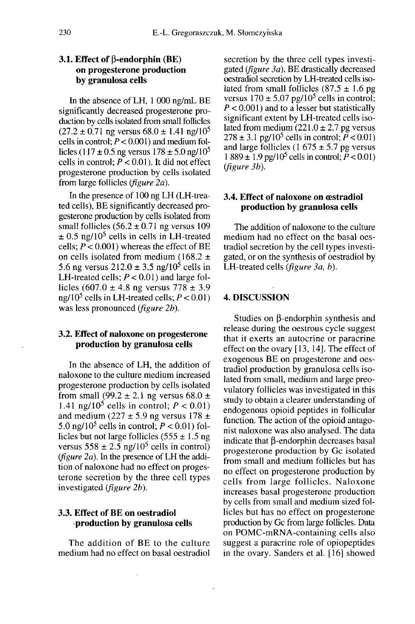### 3.1. Effect of  $\beta$ -endorphin (BE) on progesterone production by granulosa cells

In the absence of LH, 1 000 ng/mL BE significantly decreased progesterone production by cells isolated from small follicles  $(27.2 \pm 0.71$  ng versus  $68.0 \pm 1.41$  ng/ $10^5$ cells in control;  $P < 0.001$ ) and medium follicles (117 ± 0.5 ng versus 178 ± 5.0 ng/10<sup>5</sup> cells in control;  $P < 0.01$ ). It did not effect progesterone production by cells isolated from large follicles (figure 2a).

In the presence of 100 ng LH (LH-treated cells), BE significantly decreased progesterone production by cells isolated from small follicles  $(56.2 \pm 0.71$  ng versus 109 gesterone production by cells isolated from<br>small follicles  $(56.2 \pm 0.71$  ng versus 109<br> $\pm 0.5$  ng/10<sup>5</sup> cells in cells in LH-treated<br>cells:  $P < 0.001$ ) whereas the effect of BE cells;  $P < 0.001$ ) whereas the effect of BE on cells isolated from medium (168.2  $\pm$  $\pm$  0.5 ng/10<sup>5</sup> cells in cells in LH-treated<br>cells;  $P < 0.001$ ) whereas the effect of BE<br>on cells isolated from medium (168.2  $\pm$ <br>5.6 ng versus 212.0  $\pm$  3.5 ng/10<sup>5</sup> cells in LH-treated cells;  $P < 0.01$ ) and large follicles  $(607.0 \pm 4.8 \text{ ng versus } 778 \pm 3.9)$ LH-treated cells;  $P < 0.01$ ) and large follicles  $(607.0 \pm 4.8 \text{ ng}$  versus  $778 \pm 3.9 \text{ ng}/10^5$  cells in LH-treated cells;  $P < 0.01$ ) was less pronounced (*figure 2b*).

#### 3.2. Effect of naloxone on progesterone production by granulosa cells

In the absence of LH, the addition of naloxone to the culture medium increased progesterone production by cells isolated from small (99.2  $\pm$  2.1 ng versus 68.0  $\pm$ progesterone production by cells isolated<br>from small (99.2  $\pm$  2.1 ng versus 68.0  $\pm$ <br>1.41 ng/10<sup>5</sup> cells in control;  $P < 0.01$ )<br>and medium (227  $\pm$  5.9 ng versus 178  $\pm$ and medium (227  $\pm$  5.9 ng versus 178  $\pm$ 1.41 ng/10<sup>5</sup> cells in control;  $P < 0.01$ ) licles but not large follicles (555  $\pm$  1.5 ng<br>versus 558  $\pm$  2.5 ng/10<sup>5</sup> cells in control) 5.0 ng/10<sup>5</sup> cells in control;  $P < 0.01$ ) fol-( $figure 2a$ ). In the presence of LH the addition of naloxone had no effect on progesterone secretion by the three cell types investigated (figure 2b).

## 3.3. Effect of BE on oestradiol .production by granulosa cells

The addition of BE to the culture medium had no effect on basal oestradiol secretion by the three cell types investigated (*figure 3a*). BE drastically decreased oestradiol secretion by LH-treated cells iso-<br>lated from small follicles (87.5 ± 1.6 pg<br>versus  $170 \pm 5.07$  pg/10<sup>5</sup> cells in control;<br> $P < 0.001$ ) and to a lesser but statistically  $P < 0.001$ ) and to a lesser but statistically significant extent by LH-treated cells isolated from medium  $(221.0 \pm 2.7)$  pg versus 278 ± 3.1 pg/10<sup>5</sup> cells in control;  $\tilde{P}$  < 0.01)<br>and large follicles (1 675 ± 5.7 pg versus<br>1 889 ± 1.9 pg/10<sup>5</sup> cells in control;  $P$  < 0.01)<br>(*figure 3b*). and large follicles (1 675  $\pm$  5.7 pg versus<br>1 889  $\pm$  1.9 pg/10<sup>5</sup> cells in control; *P* < 0.01) (figure 3b).

#### 3.4. Effect of naloxone on cestradiol production by granulosa cells

The addition of naloxone to the culture medium had no effect on the basal oestradiol secretion by the cell types investigated, or on the synthesis of oestradiol by LH-treated cells (figure 3a, b).

#### 4. DISCUSSION

Studies on  $\beta$ -endorphin synthesis and release during the oestrous cycle suggest that it exerts an autocrine or paracrine effect on the ovary [13, 14]. The effect of exogenous BE on progesterone and oestradiol production by granulosa cells isolated from small, medium and large preovulatory follicles was investigated in this study to obtain a clearer understanding of endogenous opioid peptides in follicular function. The action of the opioid antagonist naloxone was also analysed. The data indicate that  $\beta$ -endorphin decreases basal progesterone production by Gc isolated from small and medium follicles but has no effect on progesterone production by cells from large follicles. Naloxone increases basal progesterone production by cells from small and medium sized follicles but has no effect on progesterone production by Gc from large follicles. Data on POMC-mRNA-containing cells also suggest a paracrine role of opiopeptides in the ovary. Sanders et al. [16] showed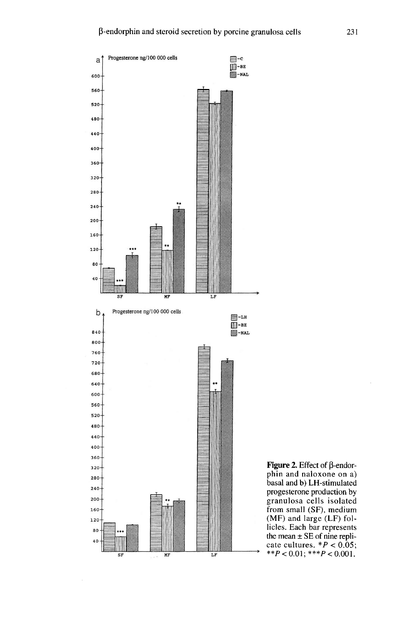

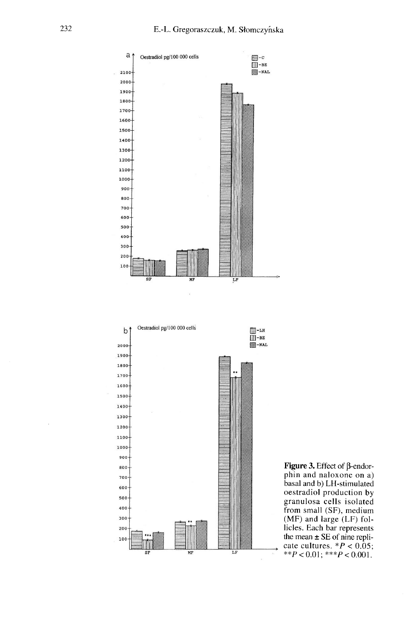



**Figure 3.** Effect of  $\beta$ -endorphin and naloxone on a) basal and b) LH-stimulated oestradiol production by granulosa cells isolated from small (SF), medium (MF) and large (LF) follicles. Each bar represents the mean  $\pm$  SE of nine replicate cultures.  $*P < 0.05$ ; \*\* $P < 0.01$ ; \*\*\* $P < 0.001$ .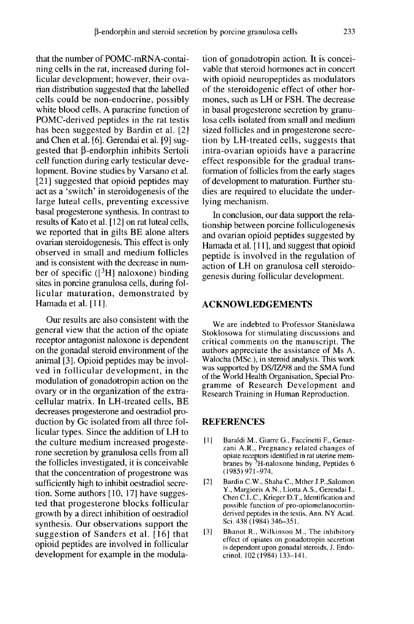that the number of POMC-mRNA-containing cells in the rat, increased during follicular development; however, their ovarian distribution suggested that the labelled cells could be non-endocrine, possibly white blood cells. A paracrine function of POMC-derived peptides in the rat testis has been suggested by Bardin et al. [2] and Chen et al. [6]. Gerendai et al. [9] suggested that B-endorphin inhibits Sertoli cell function during early testicular development. Bovine studies by Varsano et al. [21] suggested that opioid peptides may act as a 'switch' in steroidogenesis of the large luteal cells, preventing excessive basal progesterone synthesis. In contrast to<br>results of Kato et al. [12] on rat luteal cells, we reported that in gilts BE alone alters ovarian steroidogenesis. This effect is only observed in small and medium follicles and is consistent with the decrease in number of specific ( $\left[\begin{array}{c}3H\end{array}\right]$  naloxone) binding sites in porcine granulosa cells, during follicular maturation, demonstrated by Hamada et al. [ I I].

Our results are also consistent with the general view that the action of the opiate receptor antagonist naloxone is dependent on the gonadal steroid environment of the animal [3]. Opioid peptides may be involved in follicular development, in the modulation of gonadotropin action on the ovary or in the organization of the extracellular matrix. In LH-treated cells, BE decreases progesterone and oestradiol production by Gc isolated from all three follicular types. Since the addition of LH to the culture medium increased progeste rone secretion by granulosa cells from all the follicles investigated, it is conceivable that the concentration of progestrone was sufficiently high to inhibit oestradiol secretion. Some authors [10, 17] have suggested that progesterone blocks follicular growth by a direct inhibition of oestradiol synthesis. Our observations support the suggestion of Sanders et al. [16] that opioid peptides are involved in follicular development for example in the modulation of gonadotropin action. It is conceivable that steroid hormones act in concert with opioid neuropeptides as modulators of the steroidogenic effect of other hormones, such as LH or FSH. The decrease in basal progesterone secretion by granulosa cells isolated from small and medium sized follicles and in progesterone secretion by LH-treated cells, suggests that intra-ovarian opioids have a paracrine effect responsible for the gradual transformation of follicles from the early stages of development to maturation. Further studies are required to elucidate the underlying mechanism.

In conclusion, our data support the relationship between porcine folliculogenesis and ovarian opioid peptides suggested by Hamada et al. [11], and suggest that opioid peptide is involved in the regulation of action of LH on granulosa cell steroidogenesis during follicular development.

#### ACKNOWLEDGEMENTS

We are indebted to Professor Stanislawa Stoklosowa for stimulating discussions and critical comments on the manuscript. The authors appreciate the assistance of Ms A. Walocha (MSc.), in steroid analysis. This work was supported by DS/IZ/98 and the SMA fund of the World Health Organisation, Special Programme of Research Development and Research Training in Human Reproduction.

### **REFERENCES**

- [1] Baraldi M., Giarre G., Faccinetti F., Genazzani A.R., Pregnancy related changes of opiate receptors identified in rat uterine membranes by  $3H$ -naloxone binding, Peptides 6 (1985)971-974.
- [2] Bardin C.W., Shaha C., MtherJ.P.,Salomon Y., Margioris A.N., Liotta A.S., Gerendai I., Chen C.L.C., Krieger D.T., Identification and possible function of pro-opiomelanocortinderived peptides in the testis, Ann. NY Acad. Sci. 438 (1984) 346-351.
- [3] Bhanot R., Wilkinson M., The inhibitory effect of opiates on gonadotropin secretion is dependent upon gonadal steroids, J. Endocrinol. 102 (1984) 133-141.